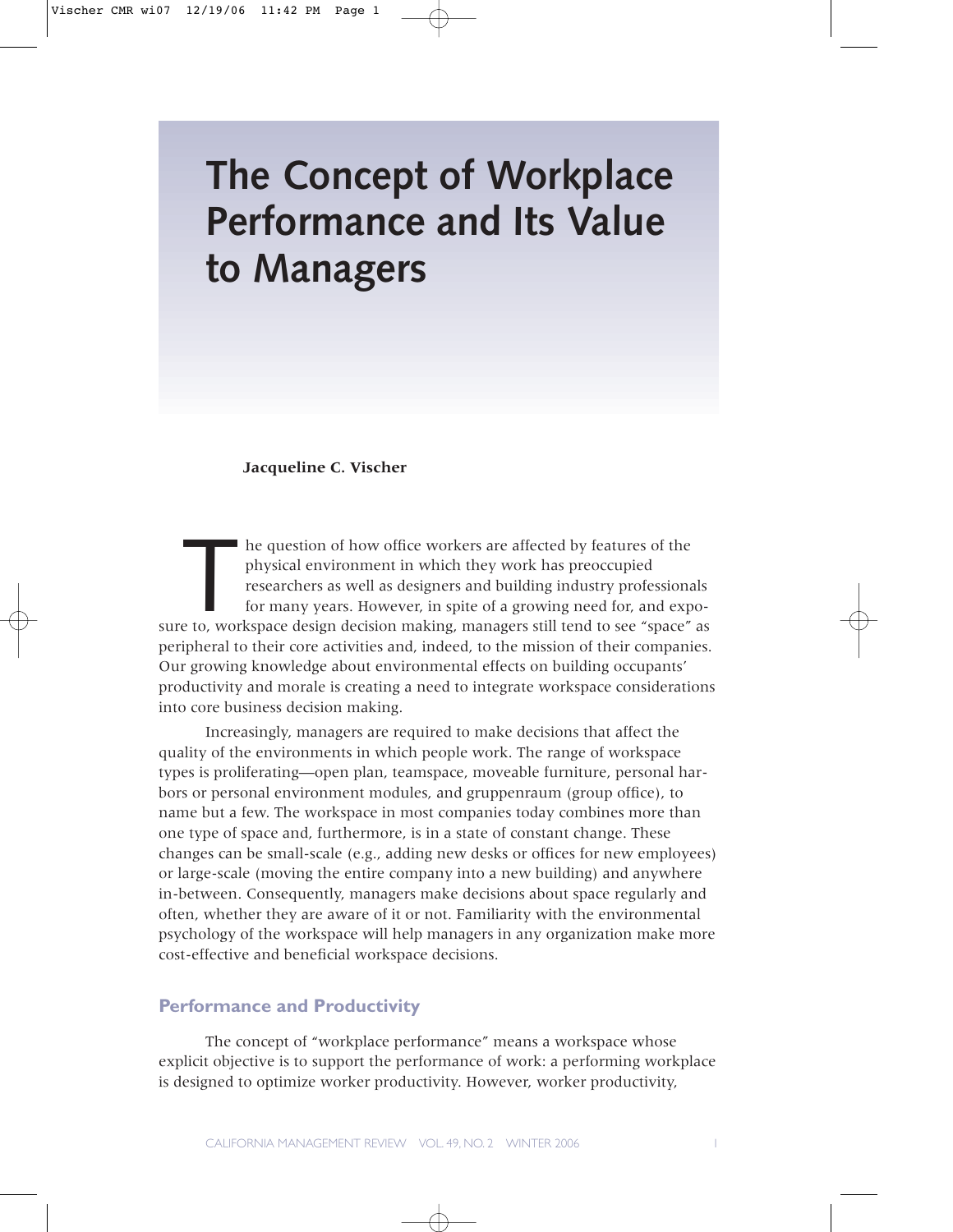### **Jacqueline C. Vischer**

The question of how office workers are affected by features of the physical environment in which they work has preoccupied researchers as well as designers and building industry profession for many years. However, in spite physical environment in which they work has preoccupied researchers as well as designers and building industry professionals for many years. However, in spite of a growing need for, and exposure to, workspace design decision making, managers still tend to see "space" as peripheral to their core activities and, indeed, to the mission of their companies. Our growing knowledge about environmental effects on building occupants' productivity and morale is creating a need to integrate workspace considerations into core business decision making.

Increasingly, managers are required to make decisions that affect the quality of the environments in which people work. The range of workspace types is proliferating—open plan, teamspace, moveable furniture, personal harbors or personal environment modules, and gruppenraum (group office), to name but a few. The workspace in most companies today combines more than one type of space and, furthermore, is in a state of constant change. These changes can be small-scale (e.g., adding new desks or offices for new employees) or large-scale (moving the entire company into a new building) and anywhere in-between. Consequently, managers make decisions about space regularly and often, whether they are aware of it or not. Familiarity with the environmental psychology of the workspace will help managers in any organization make more cost-effective and beneficial workspace decisions.

## **Performance and Productivity**

The concept of "workplace performance" means a workspace whose explicit objective is to support the performance of work: a performing workplace is designed to optimize worker productivity. However, worker productivity,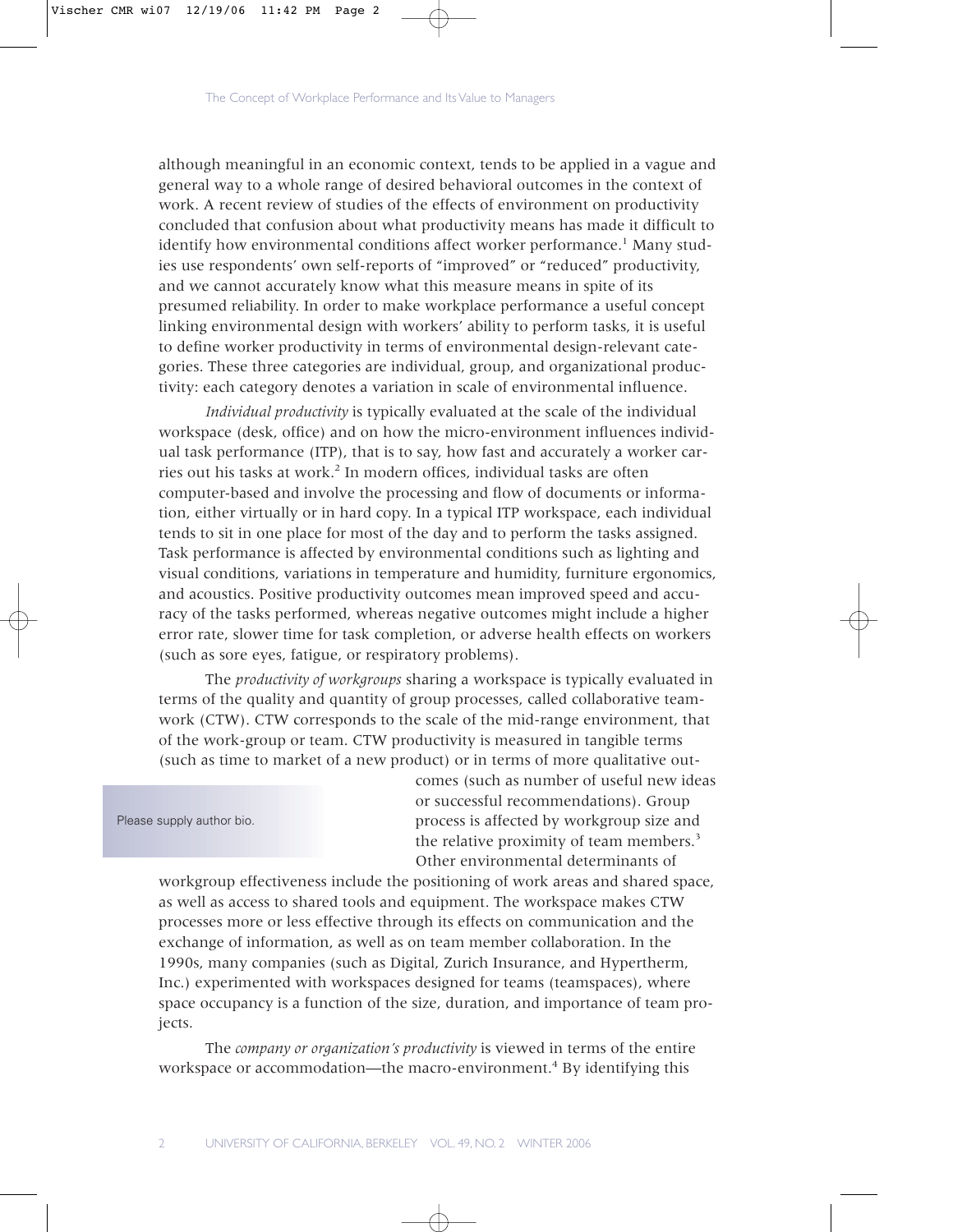although meaningful in an economic context, tends to be applied in a vague and general way to a whole range of desired behavioral outcomes in the context of work. A recent review of studies of the effects of environment on productivity concluded that confusion about what productivity means has made it difficult to identify how environmental conditions affect worker performance.<sup>1</sup> Many studies use respondents' own self-reports of "improved" or "reduced" productivity, and we cannot accurately know what this measure means in spite of its presumed reliability. In order to make workplace performance a useful concept linking environmental design with workers' ability to perform tasks, it is useful to define worker productivity in terms of environmental design-relevant categories. These three categories are individual, group, and organizational productivity: each category denotes a variation in scale of environmental influence.

*Individual productivity* is typically evaluated at the scale of the individual workspace (desk, office) and on how the micro-environment influences individual task performance (ITP), that is to say, how fast and accurately a worker carries out his tasks at work.<sup>2</sup> In modern offices, individual tasks are often computer-based and involve the processing and flow of documents or information, either virtually or in hard copy. In a typical ITP workspace, each individual tends to sit in one place for most of the day and to perform the tasks assigned. Task performance is affected by environmental conditions such as lighting and visual conditions, variations in temperature and humidity, furniture ergonomics, and acoustics. Positive productivity outcomes mean improved speed and accuracy of the tasks performed, whereas negative outcomes might include a higher error rate, slower time for task completion, or adverse health effects on workers (such as sore eyes, fatigue, or respiratory problems).

The *productivity of workgroups* sharing a workspace is typically evaluated in terms of the quality and quantity of group processes, called collaborative teamwork (CTW). CTW corresponds to the scale of the mid-range environment, that of the work-group or team. CTW productivity is measured in tangible terms (such as time to market of a new product) or in terms of more qualitative out-

Please supply author bio.

comes (such as number of useful new ideas or successful recommendations). Group process is affected by workgroup size and the relative proximity of team members.<sup>3</sup> Other environmental determinants of

workgroup effectiveness include the positioning of work areas and shared space, as well as access to shared tools and equipment. The workspace makes CTW processes more or less effective through its effects on communication and the exchange of information, as well as on team member collaboration. In the 1990s, many companies (such as Digital, Zurich Insurance, and Hypertherm, Inc.) experimented with workspaces designed for teams (teamspaces), where space occupancy is a function of the size, duration, and importance of team projects.

The *company or organization's productivity* is viewed in terms of the entire workspace or accommodation—the macro-environment.<sup>4</sup> By identifying this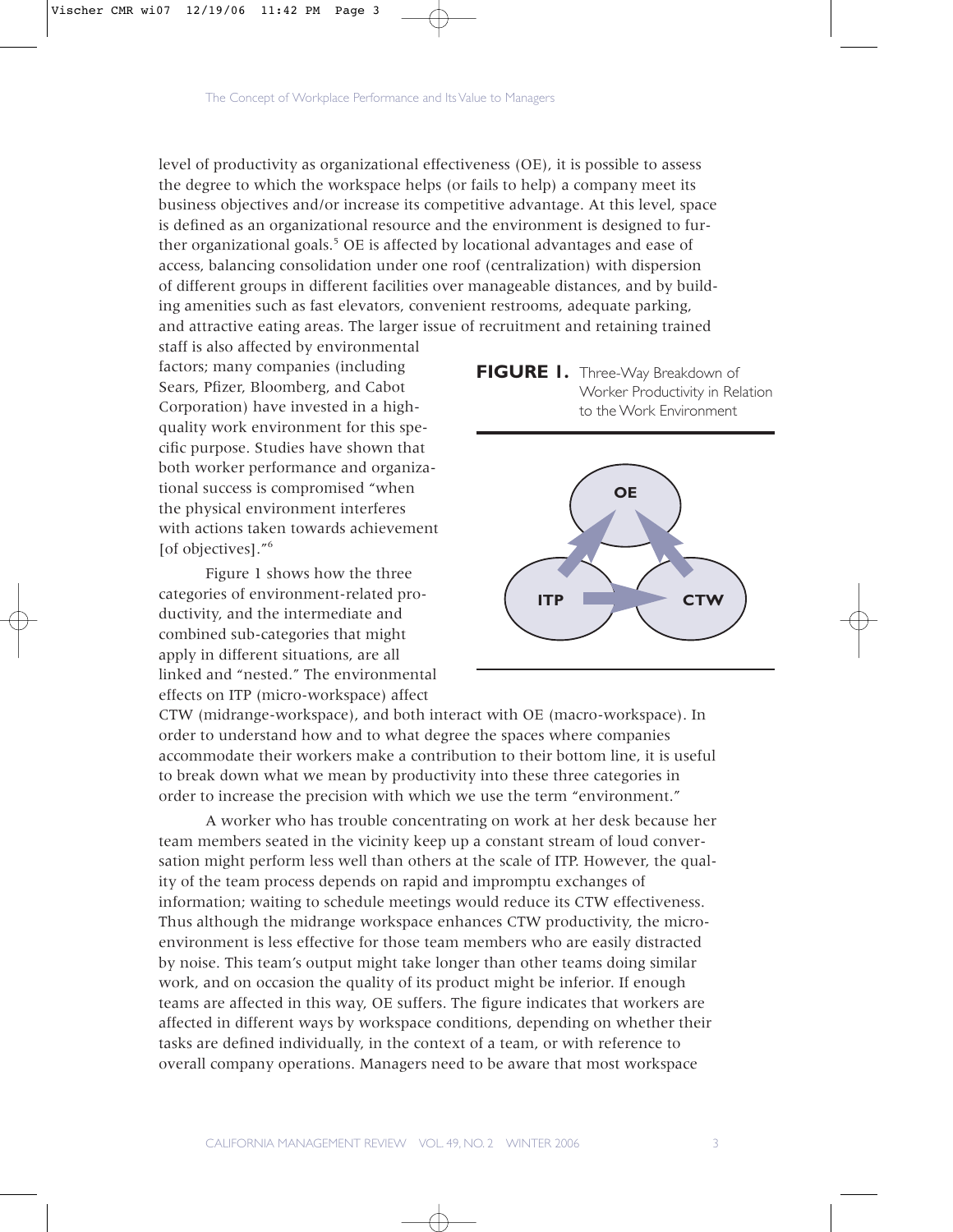level of productivity as organizational effectiveness (OE), it is possible to assess the degree to which the workspace helps (or fails to help) a company meet its business objectives and/or increase its competitive advantage. At this level, space is defined as an organizational resource and the environment is designed to further organizational goals.<sup>5</sup> OE is affected by locational advantages and ease of access, balancing consolidation under one roof (centralization) with dispersion of different groups in different facilities over manageable distances, and by building amenities such as fast elevators, convenient restrooms, adequate parking, and attractive eating areas. The larger issue of recruitment and retaining trained

staff is also affected by environmental factors; many companies (including Sears, Pfizer, Bloomberg, and Cabot Corporation) have invested in a highquality work environment for this specific purpose. Studies have shown that both worker performance and organizational success is compromised "when the physical environment interferes with actions taken towards achievement [of objectives]."<sup>6</sup>

Figure 1 shows how the three categories of environment-related productivity, and the intermediate and combined sub-categories that might apply in different situations, are all linked and "nested." The environmental effects on ITP (micro-workspace) affect





CTW (midrange-workspace), and both interact with OE (macro-workspace). In order to understand how and to what degree the spaces where companies accommodate their workers make a contribution to their bottom line, it is useful to break down what we mean by productivity into these three categories in order to increase the precision with which we use the term "environment."

A worker who has trouble concentrating on work at her desk because her team members seated in the vicinity keep up a constant stream of loud conversation might perform less well than others at the scale of ITP. However, the quality of the team process depends on rapid and impromptu exchanges of information; waiting to schedule meetings would reduce its CTW effectiveness. Thus although the midrange workspace enhances CTW productivity, the microenvironment is less effective for those team members who are easily distracted by noise. This team's output might take longer than other teams doing similar work, and on occasion the quality of its product might be inferior. If enough teams are affected in this way, OE suffers. The figure indicates that workers are affected in different ways by workspace conditions, depending on whether their tasks are defined individually, in the context of a team, or with reference to overall company operations. Managers need to be aware that most workspace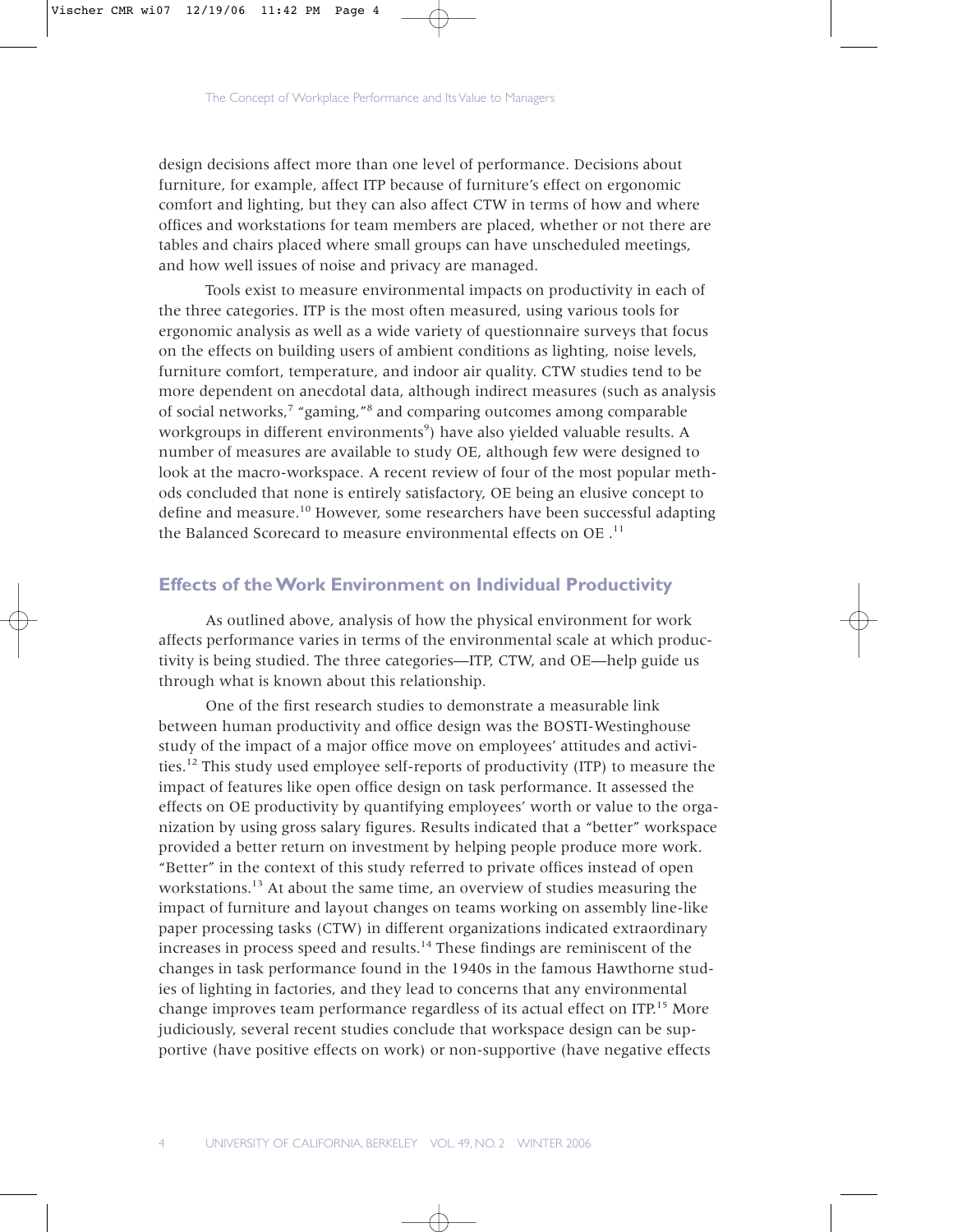design decisions affect more than one level of performance. Decisions about furniture, for example, affect ITP because of furniture's effect on ergonomic comfort and lighting, but they can also affect CTW in terms of how and where offices and workstations for team members are placed, whether or not there are tables and chairs placed where small groups can have unscheduled meetings, and how well issues of noise and privacy are managed.

Tools exist to measure environmental impacts on productivity in each of the three categories. ITP is the most often measured, using various tools for ergonomic analysis as well as a wide variety of questionnaire surveys that focus on the effects on building users of ambient conditions as lighting, noise levels, furniture comfort, temperature, and indoor air quality. CTW studies tend to be more dependent on anecdotal data, although indirect measures (such as analysis of social networks,7 "gaming,"8 and comparing outcomes among comparable workgroups in different environments<sup>9</sup>) have also yielded valuable results. A number of measures are available to study OE, although few were designed to look at the macro-workspace. A recent review of four of the most popular methods concluded that none is entirely satisfactory, OE being an elusive concept to define and measure.<sup>10</sup> However, some researchers have been successful adapting the Balanced Scorecard to measure environmental effects on OE .<sup>11</sup>

# **Effects of the Work Environment on Individual Productivity**

As outlined above, analysis of how the physical environment for work affects performance varies in terms of the environmental scale at which productivity is being studied. The three categories—ITP, CTW, and OE—help guide us through what is known about this relationship.

One of the first research studies to demonstrate a measurable link between human productivity and office design was the BOSTI-Westinghouse study of the impact of a major office move on employees' attitudes and activities.<sup>12</sup> This study used employee self-reports of productivity (ITP) to measure the impact of features like open office design on task performance. It assessed the effects on OE productivity by quantifying employees' worth or value to the organization by using gross salary figures. Results indicated that a "better" workspace provided a better return on investment by helping people produce more work. "Better" in the context of this study referred to private offices instead of open workstations.<sup>13</sup> At about the same time, an overview of studies measuring the impact of furniture and layout changes on teams working on assembly line-like paper processing tasks (CTW) in different organizations indicated extraordinary increases in process speed and results.<sup>14</sup> These findings are reminiscent of the changes in task performance found in the 1940s in the famous Hawthorne studies of lighting in factories, and they lead to concerns that any environmental change improves team performance regardless of its actual effect on ITP.<sup>15</sup> More judiciously, several recent studies conclude that workspace design can be supportive (have positive effects on work) or non-supportive (have negative effects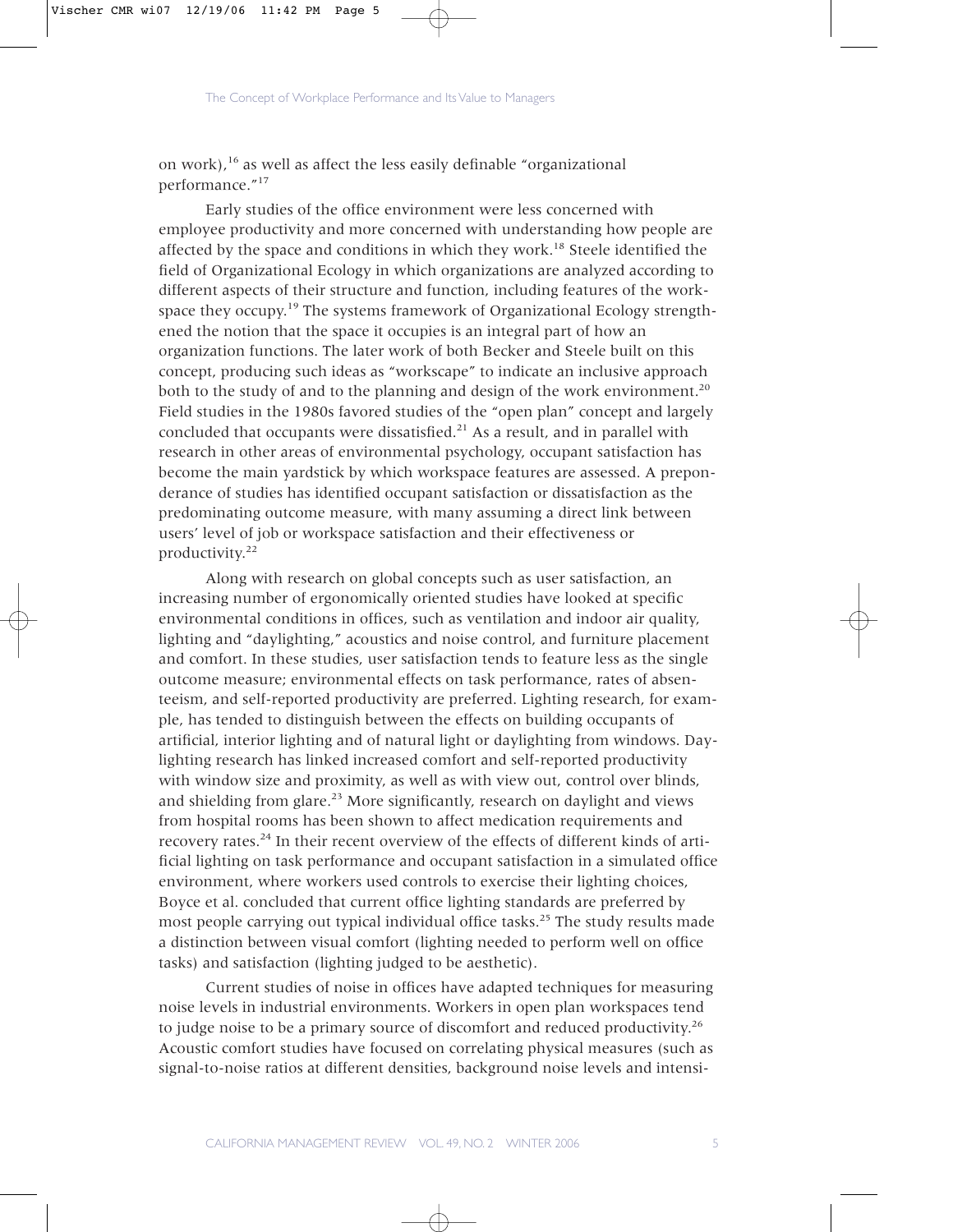on work),<sup>16</sup> as well as affect the less easily definable "organizational performance."<sup>17</sup>

Early studies of the office environment were less concerned with employee productivity and more concerned with understanding how people are affected by the space and conditions in which they work.<sup>18</sup> Steele identified the field of Organizational Ecology in which organizations are analyzed according to different aspects of their structure and function, including features of the workspace they occupy.<sup>19</sup> The systems framework of Organizational Ecology strengthened the notion that the space it occupies is an integral part of how an organization functions. The later work of both Becker and Steele built on this concept, producing such ideas as "workscape" to indicate an inclusive approach both to the study of and to the planning and design of the work environment.<sup>20</sup> Field studies in the 1980s favored studies of the "open plan" concept and largely concluded that occupants were dissatisfied. $21$  As a result, and in parallel with research in other areas of environmental psychology, occupant satisfaction has become the main yardstick by which workspace features are assessed. A preponderance of studies has identified occupant satisfaction or dissatisfaction as the predominating outcome measure, with many assuming a direct link between users' level of job or workspace satisfaction and their effectiveness or productivity.<sup>22</sup>

Along with research on global concepts such as user satisfaction, an increasing number of ergonomically oriented studies have looked at specific environmental conditions in offices, such as ventilation and indoor air quality, lighting and "daylighting," acoustics and noise control, and furniture placement and comfort. In these studies, user satisfaction tends to feature less as the single outcome measure; environmental effects on task performance, rates of absenteeism, and self-reported productivity are preferred. Lighting research, for example, has tended to distinguish between the effects on building occupants of artificial, interior lighting and of natural light or daylighting from windows. Daylighting research has linked increased comfort and self-reported productivity with window size and proximity, as well as with view out, control over blinds, and shielding from glare.<sup>23</sup> More significantly, research on daylight and views from hospital rooms has been shown to affect medication requirements and recovery rates.24 In their recent overview of the effects of different kinds of artificial lighting on task performance and occupant satisfaction in a simulated office environment, where workers used controls to exercise their lighting choices, Boyce et al. concluded that current office lighting standards are preferred by most people carrying out typical individual office tasks.<sup>25</sup> The study results made a distinction between visual comfort (lighting needed to perform well on office tasks) and satisfaction (lighting judged to be aesthetic).

Current studies of noise in offices have adapted techniques for measuring noise levels in industrial environments. Workers in open plan workspaces tend to judge noise to be a primary source of discomfort and reduced productivity.<sup>26</sup> Acoustic comfort studies have focused on correlating physical measures (such as signal-to-noise ratios at different densities, background noise levels and intensi-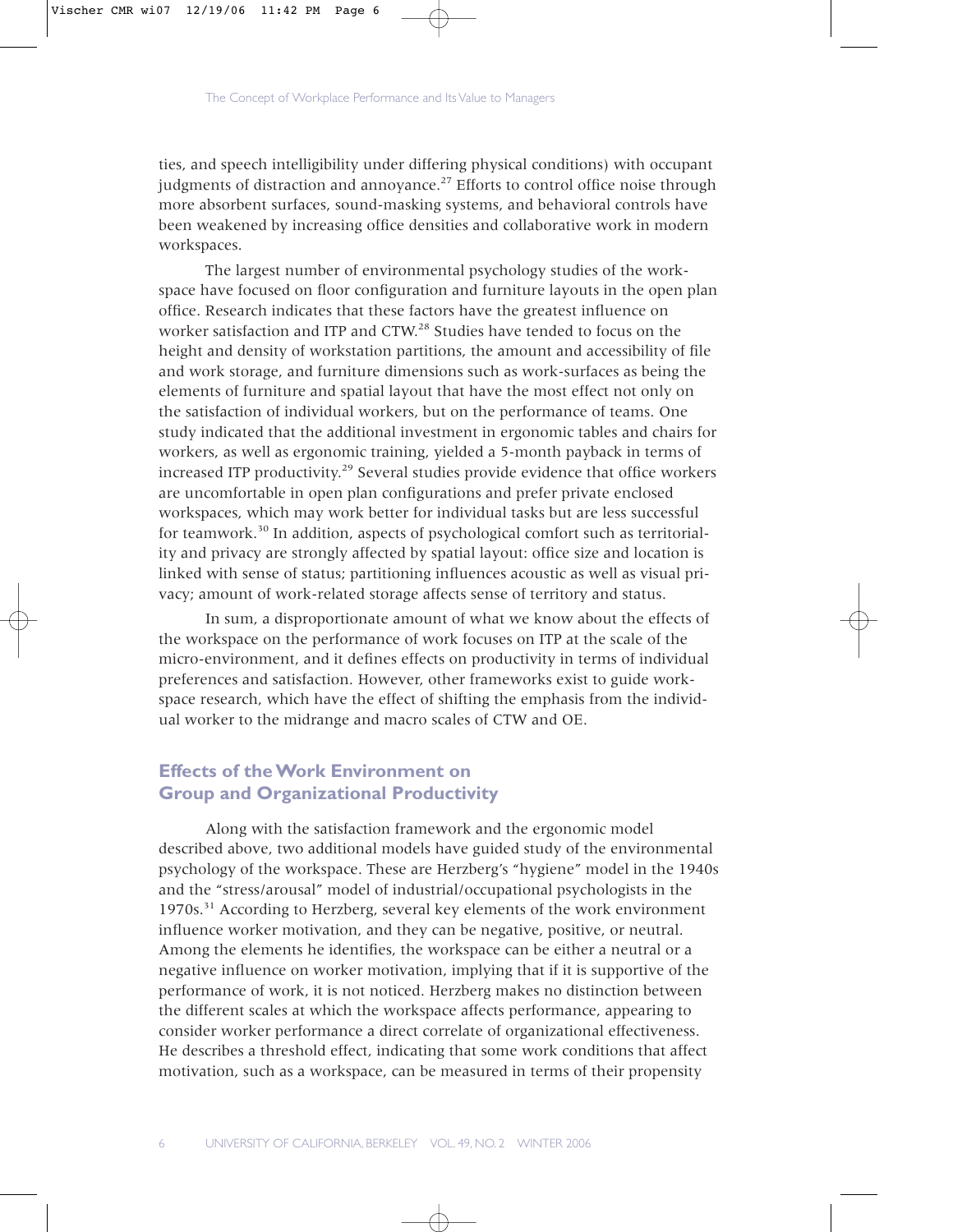ties, and speech intelligibility under differing physical conditions) with occupant judgments of distraction and annoyance.<sup>27</sup> Efforts to control office noise through more absorbent surfaces, sound-masking systems, and behavioral controls have been weakened by increasing office densities and collaborative work in modern workspaces.

The largest number of environmental psychology studies of the workspace have focused on floor configuration and furniture layouts in the open plan office. Research indicates that these factors have the greatest influence on worker satisfaction and ITP and CTW.<sup>28</sup> Studies have tended to focus on the height and density of workstation partitions, the amount and accessibility of file and work storage, and furniture dimensions such as work-surfaces as being the elements of furniture and spatial layout that have the most effect not only on the satisfaction of individual workers, but on the performance of teams. One study indicated that the additional investment in ergonomic tables and chairs for workers, as well as ergonomic training, yielded a 5-month payback in terms of increased ITP productivity.<sup>29</sup> Several studies provide evidence that office workers are uncomfortable in open plan configurations and prefer private enclosed workspaces, which may work better for individual tasks but are less successful for teamwork.30 In addition, aspects of psychological comfort such as territoriality and privacy are strongly affected by spatial layout: office size and location is linked with sense of status; partitioning influences acoustic as well as visual privacy; amount of work-related storage affects sense of territory and status.

In sum, a disproportionate amount of what we know about the effects of the workspace on the performance of work focuses on ITP at the scale of the micro-environment, and it defines effects on productivity in terms of individual preferences and satisfaction. However, other frameworks exist to guide workspace research, which have the effect of shifting the emphasis from the individual worker to the midrange and macro scales of CTW and OE.

# **Effects of the Work Environment on Group and Organizational Productivity**

Along with the satisfaction framework and the ergonomic model described above, two additional models have guided study of the environmental psychology of the workspace. These are Herzberg's "hygiene" model in the 1940s and the "stress/arousal" model of industrial/occupational psychologists in the 1970s.31 According to Herzberg, several key elements of the work environment influence worker motivation, and they can be negative, positive, or neutral. Among the elements he identifies, the workspace can be either a neutral or a negative influence on worker motivation, implying that if it is supportive of the performance of work, it is not noticed. Herzberg makes no distinction between the different scales at which the workspace affects performance, appearing to consider worker performance a direct correlate of organizational effectiveness. He describes a threshold effect, indicating that some work conditions that affect motivation, such as a workspace, can be measured in terms of their propensity

6 UNIVERSITY OF CALIFORNIA, BERKELEY VOL. 49, NO. 2 WINTER 2006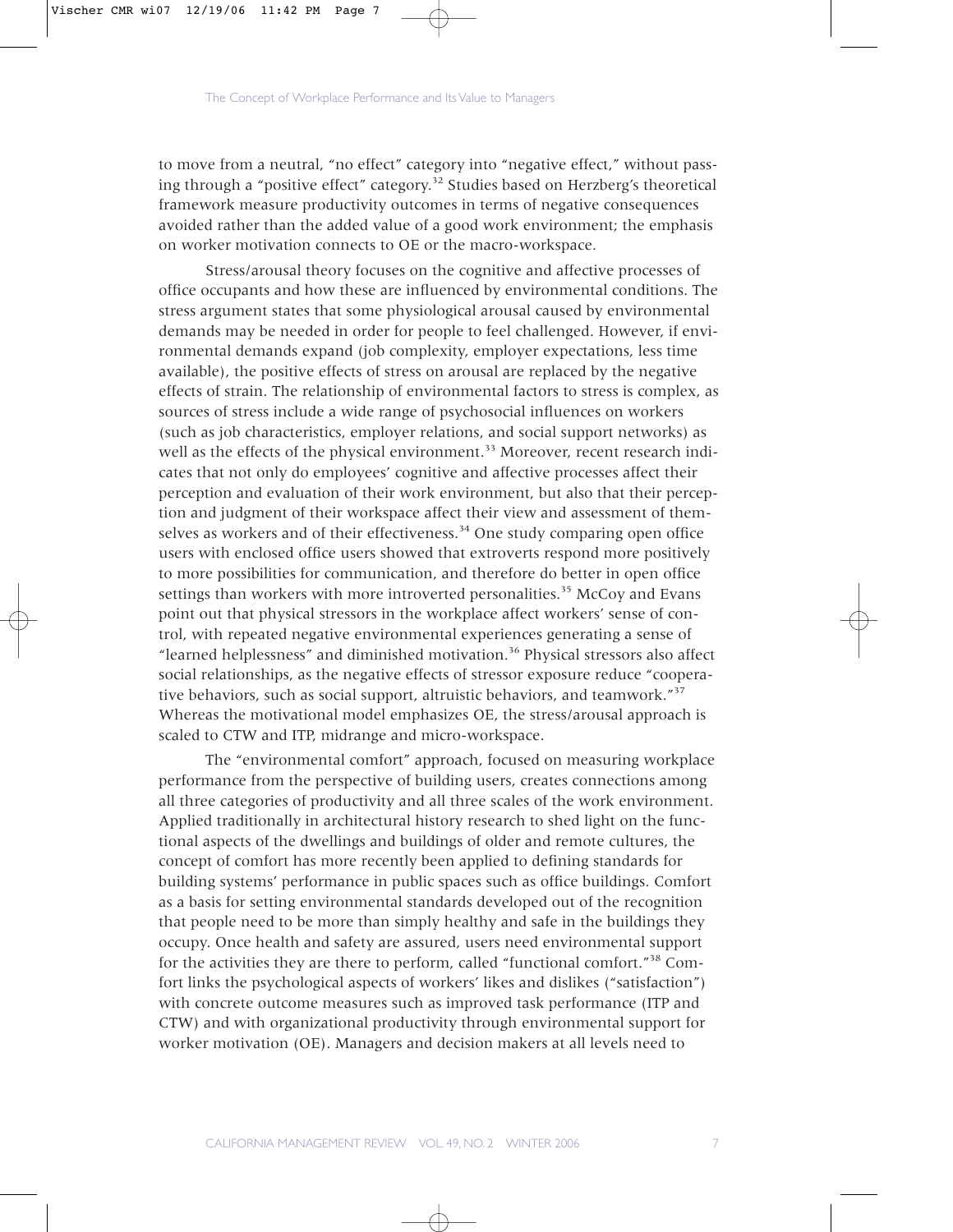to move from a neutral, "no effect" category into "negative effect," without passing through a "positive effect" category.<sup>32</sup> Studies based on Herzberg's theoretical framework measure productivity outcomes in terms of negative consequences avoided rather than the added value of a good work environment; the emphasis on worker motivation connects to OE or the macro-workspace.

Stress/arousal theory focuses on the cognitive and affective processes of office occupants and how these are influenced by environmental conditions. The stress argument states that some physiological arousal caused by environmental demands may be needed in order for people to feel challenged. However, if environmental demands expand (job complexity, employer expectations, less time available), the positive effects of stress on arousal are replaced by the negative effects of strain. The relationship of environmental factors to stress is complex, as sources of stress include a wide range of psychosocial influences on workers (such as job characteristics, employer relations, and social support networks) as well as the effects of the physical environment.<sup>33</sup> Moreover, recent research indicates that not only do employees' cognitive and affective processes affect their perception and evaluation of their work environment, but also that their perception and judgment of their workspace affect their view and assessment of themselves as workers and of their effectiveness.<sup>34</sup> One study comparing open office users with enclosed office users showed that extroverts respond more positively to more possibilities for communication, and therefore do better in open office settings than workers with more introverted personalities.<sup>35</sup> McCoy and Evans point out that physical stressors in the workplace affect workers' sense of control, with repeated negative environmental experiences generating a sense of "learned helplessness" and diminished motivation.36 Physical stressors also affect social relationships, as the negative effects of stressor exposure reduce "cooperative behaviors, such as social support, altruistic behaviors, and teamwork."<sup>37</sup> Whereas the motivational model emphasizes OE, the stress/arousal approach is scaled to CTW and ITP, midrange and micro-workspace.

The "environmental comfort" approach, focused on measuring workplace performance from the perspective of building users, creates connections among all three categories of productivity and all three scales of the work environment. Applied traditionally in architectural history research to shed light on the functional aspects of the dwellings and buildings of older and remote cultures, the concept of comfort has more recently been applied to defining standards for building systems' performance in public spaces such as office buildings. Comfort as a basis for setting environmental standards developed out of the recognition that people need to be more than simply healthy and safe in the buildings they occupy. Once health and safety are assured, users need environmental support for the activities they are there to perform, called "functional comfort."<sup>38</sup> Comfort links the psychological aspects of workers' likes and dislikes ("satisfaction") with concrete outcome measures such as improved task performance (ITP and CTW) and with organizational productivity through environmental support for worker motivation (OE). Managers and decision makers at all levels need to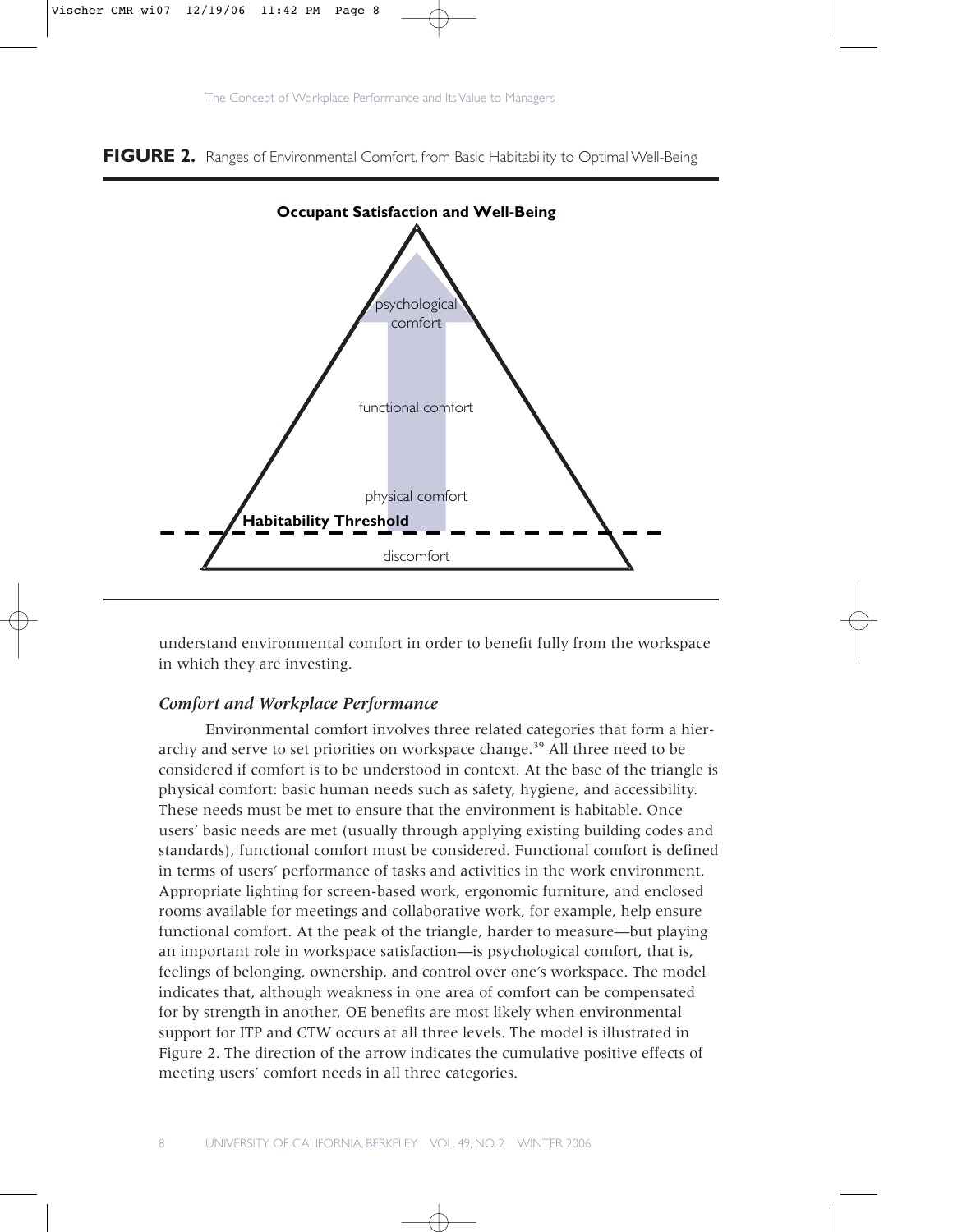



**FIGURE 2.** Ranges of Environmental Comfort, from Basic Habitability to Optimal Well-Being

understand environmental comfort in order to benefit fully from the workspace in which they are investing.

## *Comfort and Workplace Performance*

Environmental comfort involves three related categories that form a hierarchy and serve to set priorities on workspace change.<sup>39</sup> All three need to be considered if comfort is to be understood in context. At the base of the triangle is physical comfort: basic human needs such as safety, hygiene, and accessibility. These needs must be met to ensure that the environment is habitable. Once users' basic needs are met (usually through applying existing building codes and standards), functional comfort must be considered. Functional comfort is defined in terms of users' performance of tasks and activities in the work environment. Appropriate lighting for screen-based work, ergonomic furniture, and enclosed rooms available for meetings and collaborative work, for example, help ensure functional comfort. At the peak of the triangle, harder to measure—but playing an important role in workspace satisfaction—is psychological comfort, that is, feelings of belonging, ownership, and control over one's workspace. The model indicates that, although weakness in one area of comfort can be compensated for by strength in another, OE benefits are most likely when environmental support for ITP and CTW occurs at all three levels. The model is illustrated in Figure 2. The direction of the arrow indicates the cumulative positive effects of meeting users' comfort needs in all three categories.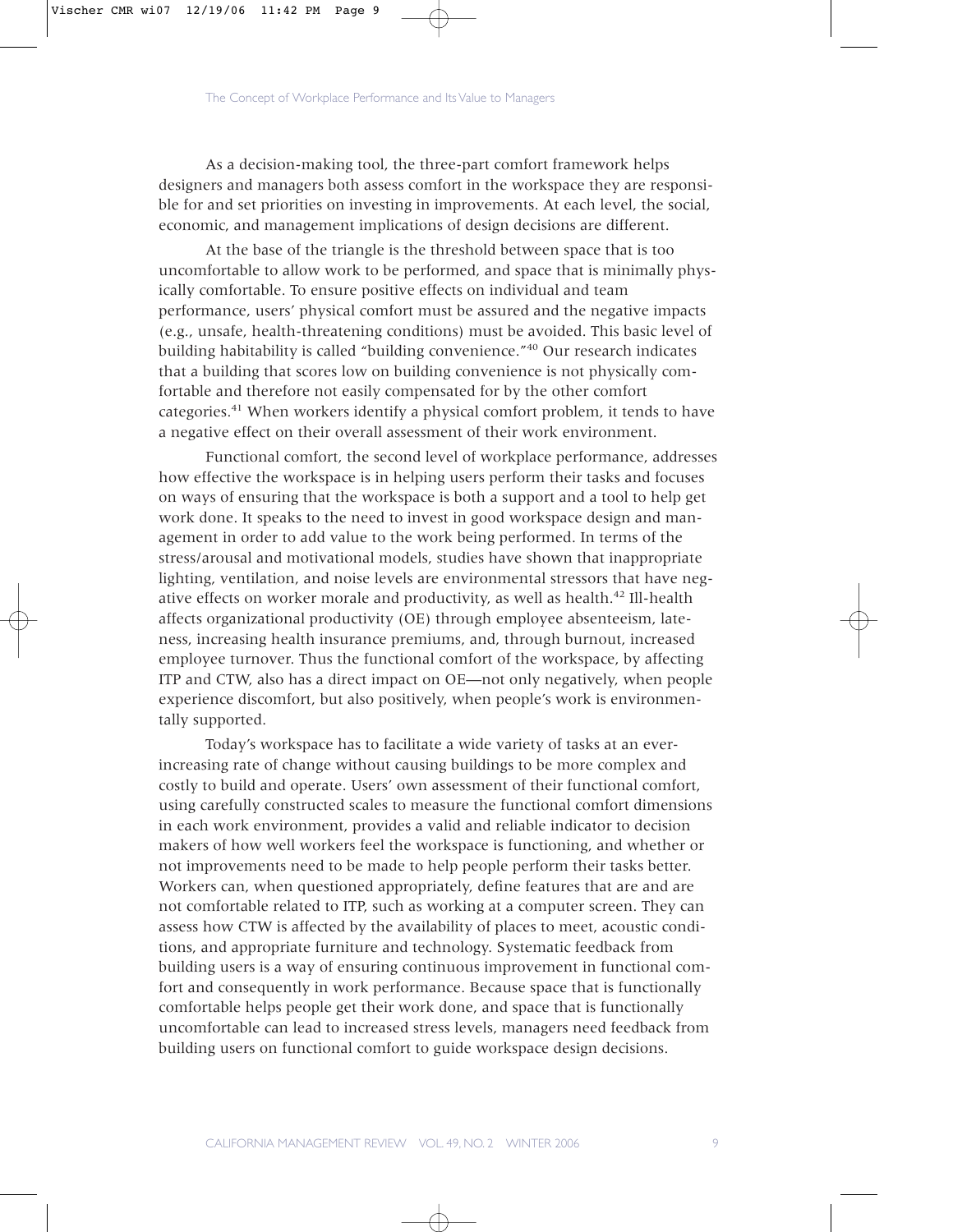As a decision-making tool, the three-part comfort framework helps designers and managers both assess comfort in the workspace they are responsible for and set priorities on investing in improvements. At each level, the social, economic, and management implications of design decisions are different.

At the base of the triangle is the threshold between space that is too uncomfortable to allow work to be performed, and space that is minimally physically comfortable. To ensure positive effects on individual and team performance, users' physical comfort must be assured and the negative impacts (e.g., unsafe, health-threatening conditions) must be avoided. This basic level of building habitability is called "building convenience."<sup>40</sup> Our research indicates that a building that scores low on building convenience is not physically comfortable and therefore not easily compensated for by the other comfort categories.<sup>41</sup> When workers identify a physical comfort problem, it tends to have a negative effect on their overall assessment of their work environment.

Functional comfort, the second level of workplace performance, addresses how effective the workspace is in helping users perform their tasks and focuses on ways of ensuring that the workspace is both a support and a tool to help get work done. It speaks to the need to invest in good workspace design and management in order to add value to the work being performed. In terms of the stress/arousal and motivational models, studies have shown that inappropriate lighting, ventilation, and noise levels are environmental stressors that have negative effects on worker morale and productivity, as well as health.<sup>42</sup> Ill-health affects organizational productivity (OE) through employee absenteeism, lateness, increasing health insurance premiums, and, through burnout, increased employee turnover. Thus the functional comfort of the workspace, by affecting ITP and CTW, also has a direct impact on OE—not only negatively, when people experience discomfort, but also positively, when people's work is environmentally supported.

Today's workspace has to facilitate a wide variety of tasks at an everincreasing rate of change without causing buildings to be more complex and costly to build and operate. Users' own assessment of their functional comfort, using carefully constructed scales to measure the functional comfort dimensions in each work environment, provides a valid and reliable indicator to decision makers of how well workers feel the workspace is functioning, and whether or not improvements need to be made to help people perform their tasks better. Workers can, when questioned appropriately, define features that are and are not comfortable related to ITP, such as working at a computer screen. They can assess how CTW is affected by the availability of places to meet, acoustic conditions, and appropriate furniture and technology. Systematic feedback from building users is a way of ensuring continuous improvement in functional comfort and consequently in work performance. Because space that is functionally comfortable helps people get their work done, and space that is functionally uncomfortable can lead to increased stress levels, managers need feedback from building users on functional comfort to guide workspace design decisions.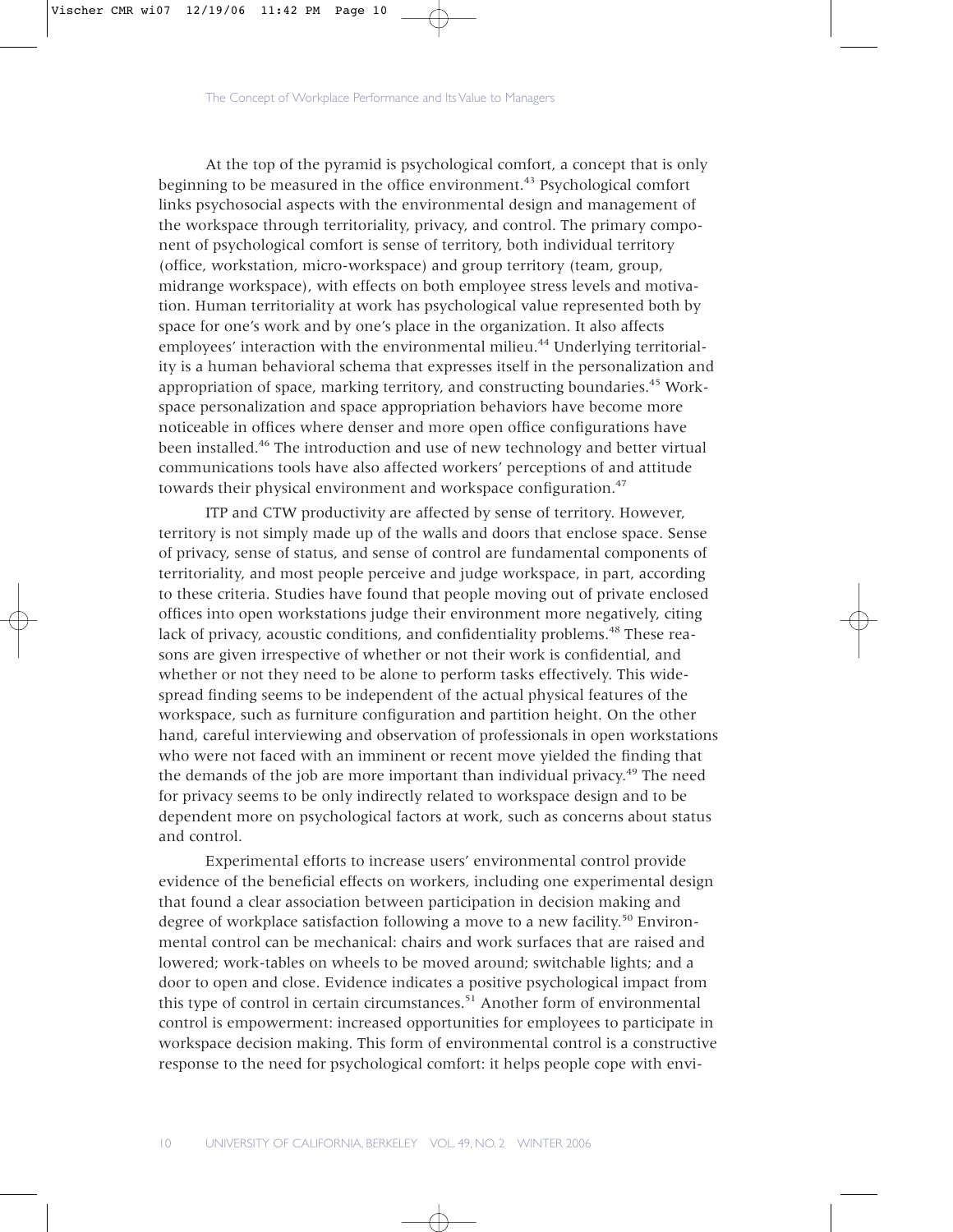At the top of the pyramid is psychological comfort, a concept that is only beginning to be measured in the office environment.<sup>43</sup> Psychological comfort links psychosocial aspects with the environmental design and management of the workspace through territoriality, privacy, and control. The primary component of psychological comfort is sense of territory, both individual territory (office, workstation, micro-workspace) and group territory (team, group, midrange workspace), with effects on both employee stress levels and motivation. Human territoriality at work has psychological value represented both by space for one's work and by one's place in the organization. It also affects employees' interaction with the environmental milieu.<sup>44</sup> Underlying territoriality is a human behavioral schema that expresses itself in the personalization and appropriation of space, marking territory, and constructing boundaries.<sup>45</sup> Workspace personalization and space appropriation behaviors have become more noticeable in offices where denser and more open office configurations have been installed.46 The introduction and use of new technology and better virtual communications tools have also affected workers' perceptions of and attitude towards their physical environment and workspace configuration.<sup>47</sup>

ITP and CTW productivity are affected by sense of territory. However, territory is not simply made up of the walls and doors that enclose space. Sense of privacy, sense of status, and sense of control are fundamental components of territoriality, and most people perceive and judge workspace, in part, according to these criteria. Studies have found that people moving out of private enclosed offices into open workstations judge their environment more negatively, citing lack of privacy, acoustic conditions, and confidentiality problems.<sup>48</sup> These reasons are given irrespective of whether or not their work is confidential, and whether or not they need to be alone to perform tasks effectively. This widespread finding seems to be independent of the actual physical features of the workspace, such as furniture configuration and partition height. On the other hand, careful interviewing and observation of professionals in open workstations who were not faced with an imminent or recent move yielded the finding that the demands of the job are more important than individual privacy.<sup>49</sup> The need for privacy seems to be only indirectly related to workspace design and to be dependent more on psychological factors at work, such as concerns about status and control.

Experimental efforts to increase users' environmental control provide evidence of the beneficial effects on workers, including one experimental design that found a clear association between participation in decision making and degree of workplace satisfaction following a move to a new facility.<sup>50</sup> Environmental control can be mechanical: chairs and work surfaces that are raised and lowered; work-tables on wheels to be moved around; switchable lights; and a door to open and close. Evidence indicates a positive psychological impact from this type of control in certain circumstances.<sup>51</sup> Another form of environmental control is empowerment: increased opportunities for employees to participate in workspace decision making. This form of environmental control is a constructive response to the need for psychological comfort: it helps people cope with envi-

10 UNIVERSITY OF CALIFORNIA, BERKELEY VOL. 49, NO. 2 WINTER 2006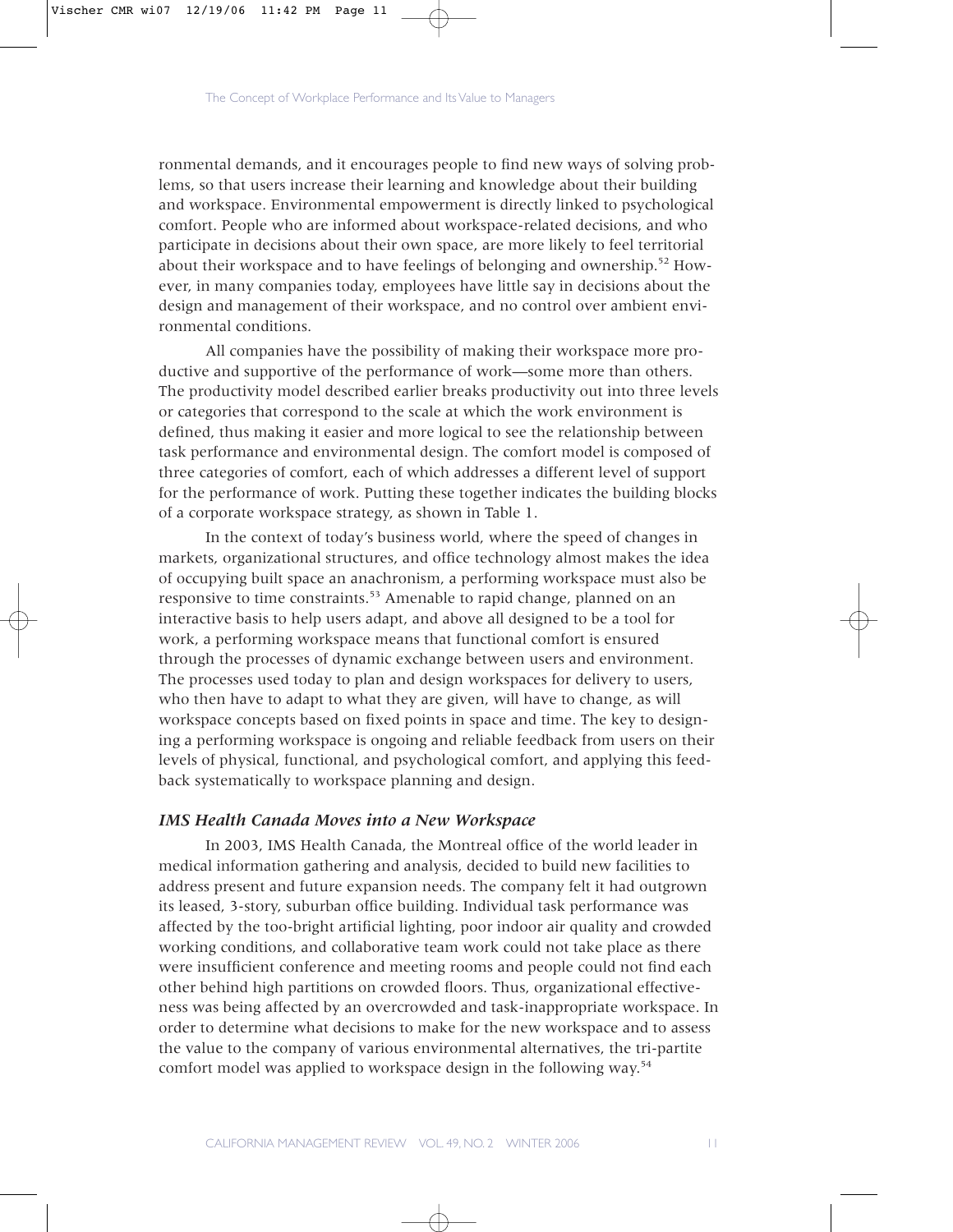ronmental demands, and it encourages people to find new ways of solving problems, so that users increase their learning and knowledge about their building and workspace. Environmental empowerment is directly linked to psychological comfort. People who are informed about workspace-related decisions, and who participate in decisions about their own space, are more likely to feel territorial about their workspace and to have feelings of belonging and ownership.<sup>52</sup> However, in many companies today, employees have little say in decisions about the design and management of their workspace, and no control over ambient environmental conditions.

All companies have the possibility of making their workspace more productive and supportive of the performance of work—some more than others. The productivity model described earlier breaks productivity out into three levels or categories that correspond to the scale at which the work environment is defined, thus making it easier and more logical to see the relationship between task performance and environmental design. The comfort model is composed of three categories of comfort, each of which addresses a different level of support for the performance of work. Putting these together indicates the building blocks of a corporate workspace strategy, as shown in Table 1.

In the context of today's business world, where the speed of changes in markets, organizational structures, and office technology almost makes the idea of occupying built space an anachronism, a performing workspace must also be responsive to time constraints.<sup>53</sup> Amenable to rapid change, planned on an interactive basis to help users adapt, and above all designed to be a tool for work, a performing workspace means that functional comfort is ensured through the processes of dynamic exchange between users and environment. The processes used today to plan and design workspaces for delivery to users, who then have to adapt to what they are given, will have to change, as will workspace concepts based on fixed points in space and time. The key to designing a performing workspace is ongoing and reliable feedback from users on their levels of physical, functional, and psychological comfort, and applying this feedback systematically to workspace planning and design.

# *IMS Health Canada Moves into a New Workspace*

In 2003, IMS Health Canada, the Montreal office of the world leader in medical information gathering and analysis, decided to build new facilities to address present and future expansion needs. The company felt it had outgrown its leased, 3-story, suburban office building. Individual task performance was affected by the too-bright artificial lighting, poor indoor air quality and crowded working conditions, and collaborative team work could not take place as there were insufficient conference and meeting rooms and people could not find each other behind high partitions on crowded floors. Thus, organizational effectiveness was being affected by an overcrowded and task-inappropriate workspace. In order to determine what decisions to make for the new workspace and to assess the value to the company of various environmental alternatives, the tri-partite comfort model was applied to workspace design in the following way.<sup>54</sup>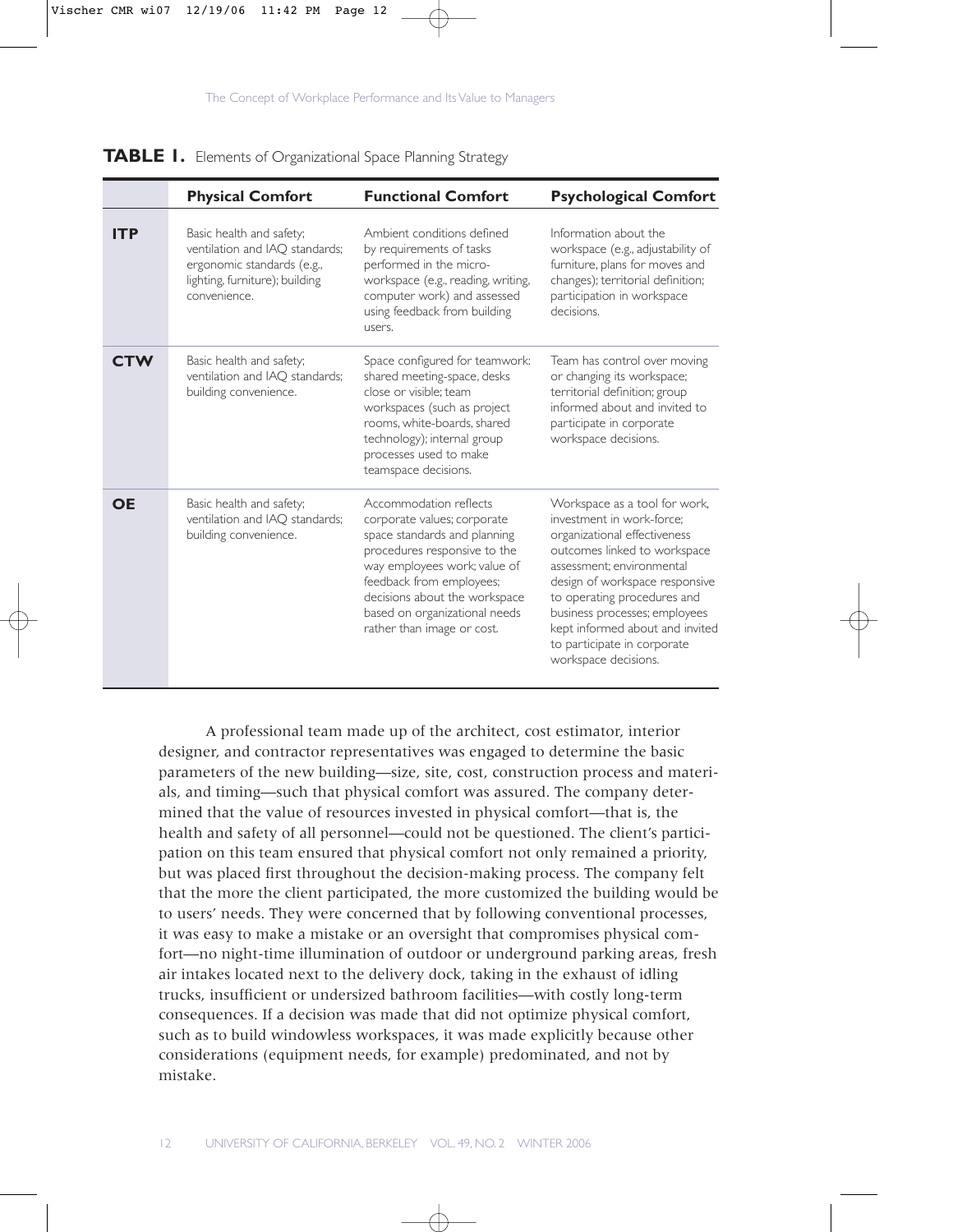

**TABLE 1.** Elements of Organizational Space Planning Strategy

|            | <b>Physical Comfort</b>                                                                                                                    | <b>Functional Comfort</b>                                                                                                                                                                                                                                                         | <b>Psychological Comfort</b>                                                                                                                                                                                                                                                                                                                        |
|------------|--------------------------------------------------------------------------------------------------------------------------------------------|-----------------------------------------------------------------------------------------------------------------------------------------------------------------------------------------------------------------------------------------------------------------------------------|-----------------------------------------------------------------------------------------------------------------------------------------------------------------------------------------------------------------------------------------------------------------------------------------------------------------------------------------------------|
| <b>ITP</b> | Basic health and safety;<br>ventilation and IAO standards;<br>ergonomic standards (e.g.,<br>lighting, furniture); building<br>convenience. | Ambient conditions defined<br>by requirements of tasks<br>performed in the micro-<br>workspace (e.g., reading, writing,<br>computer work) and assessed<br>using feedback from building<br>users.                                                                                  | Information about the<br>workspace (e.g., adjustability of<br>furniture, plans for moves and<br>changes); territorial definition;<br>participation in workspace<br>decisions.                                                                                                                                                                       |
| <b>CTW</b> | Basic health and safety;<br>ventilation and IAO standards;<br>building convenience.                                                        | Space configured for teamwork:<br>shared meeting-space, desks<br>close or visible: team<br>workspaces (such as project<br>rooms, white-boards, shared<br>technology); internal group<br>processes used to make<br>teamspace decisions.                                            | Team has control over moving<br>or changing its workspace;<br>territorial definition; group<br>informed about and invited to<br>participate in corporate<br>workspace decisions.                                                                                                                                                                    |
| <b>OE</b>  | Basic health and safety;<br>ventilation and IAQ standards;<br>building convenience.                                                        | Accommodation reflects<br>corporate values; corporate<br>space standards and planning<br>procedures responsive to the<br>way employees work; value of<br>feedback from employees;<br>decisions about the workspace<br>based on organizational needs<br>rather than image or cost. | Workspace as a tool for work,<br>investment in work-force:<br>organizational effectiveness<br>outcomes linked to workspace<br>assessment: environmental<br>design of workspace responsive<br>to operating procedures and<br>business processes; employees<br>kept informed about and invited<br>to participate in corporate<br>workspace decisions. |

A professional team made up of the architect, cost estimator, interior designer, and contractor representatives was engaged to determine the basic parameters of the new building—size, site, cost, construction process and materials, and timing—such that physical comfort was assured. The company determined that the value of resources invested in physical comfort—that is, the health and safety of all personnel—could not be questioned. The client's participation on this team ensured that physical comfort not only remained a priority, but was placed first throughout the decision-making process. The company felt that the more the client participated, the more customized the building would be to users' needs. They were concerned that by following conventional processes, it was easy to make a mistake or an oversight that compromises physical comfort—no night-time illumination of outdoor or underground parking areas, fresh air intakes located next to the delivery dock, taking in the exhaust of idling trucks, insufficient or undersized bathroom facilities—with costly long-term consequences. If a decision was made that did not optimize physical comfort, such as to build windowless workspaces, it was made explicitly because other considerations (equipment needs, for example) predominated, and not by mistake.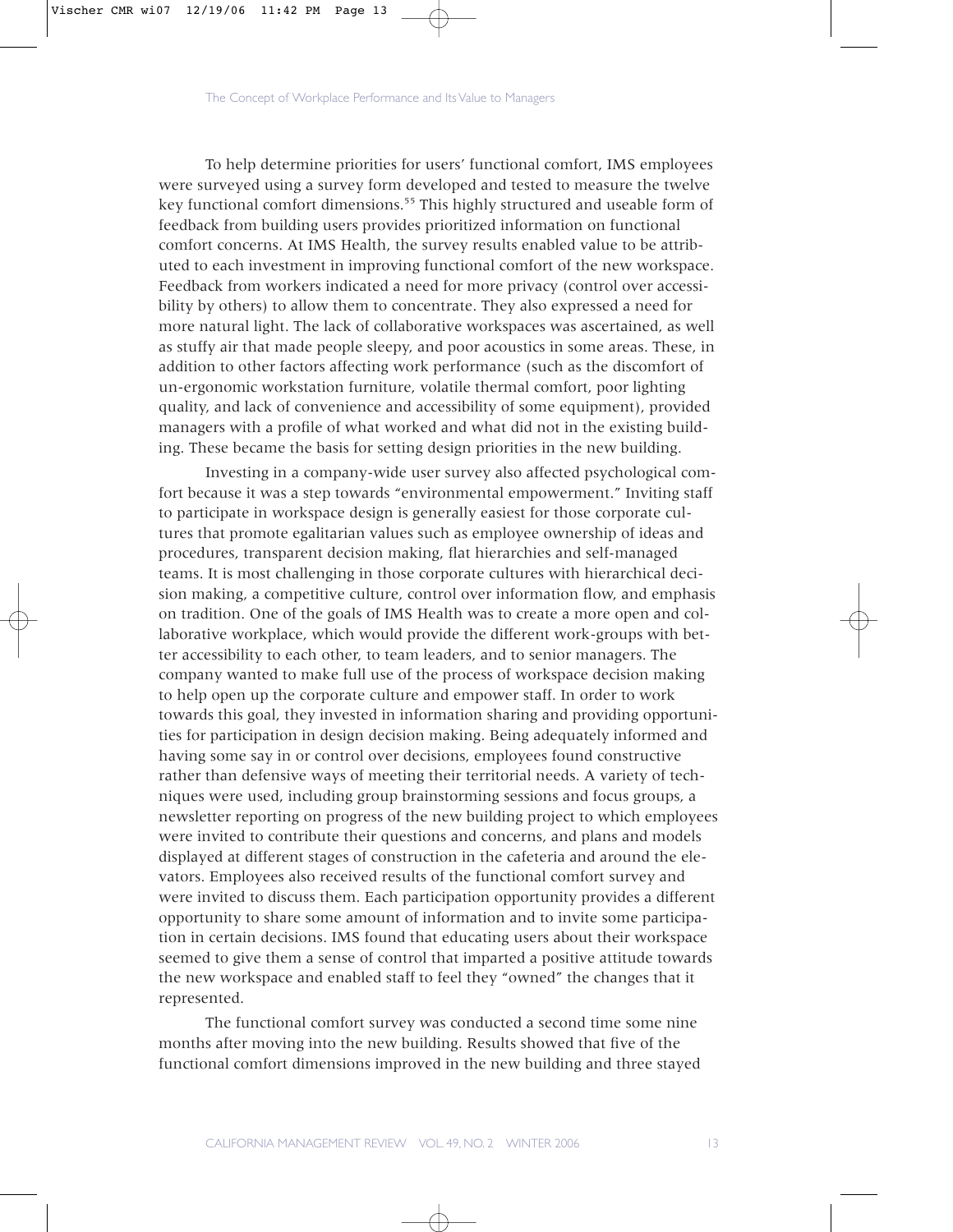To help determine priorities for users' functional comfort, IMS employees were surveyed using a survey form developed and tested to measure the twelve key functional comfort dimensions.<sup>55</sup> This highly structured and useable form of feedback from building users provides prioritized information on functional comfort concerns. At IMS Health, the survey results enabled value to be attributed to each investment in improving functional comfort of the new workspace. Feedback from workers indicated a need for more privacy (control over accessibility by others) to allow them to concentrate. They also expressed a need for more natural light. The lack of collaborative workspaces was ascertained, as well as stuffy air that made people sleepy, and poor acoustics in some areas. These, in addition to other factors affecting work performance (such as the discomfort of un-ergonomic workstation furniture, volatile thermal comfort, poor lighting quality, and lack of convenience and accessibility of some equipment), provided managers with a profile of what worked and what did not in the existing building. These became the basis for setting design priorities in the new building.

Investing in a company-wide user survey also affected psychological comfort because it was a step towards "environmental empowerment." Inviting staff to participate in workspace design is generally easiest for those corporate cultures that promote egalitarian values such as employee ownership of ideas and procedures, transparent decision making, flat hierarchies and self-managed teams. It is most challenging in those corporate cultures with hierarchical decision making, a competitive culture, control over information flow, and emphasis on tradition. One of the goals of IMS Health was to create a more open and collaborative workplace, which would provide the different work-groups with better accessibility to each other, to team leaders, and to senior managers. The company wanted to make full use of the process of workspace decision making to help open up the corporate culture and empower staff. In order to work towards this goal, they invested in information sharing and providing opportunities for participation in design decision making. Being adequately informed and having some say in or control over decisions, employees found constructive rather than defensive ways of meeting their territorial needs. A variety of techniques were used, including group brainstorming sessions and focus groups, a newsletter reporting on progress of the new building project to which employees were invited to contribute their questions and concerns, and plans and models displayed at different stages of construction in the cafeteria and around the elevators. Employees also received results of the functional comfort survey and were invited to discuss them. Each participation opportunity provides a different opportunity to share some amount of information and to invite some participation in certain decisions. IMS found that educating users about their workspace seemed to give them a sense of control that imparted a positive attitude towards the new workspace and enabled staff to feel they "owned" the changes that it represented.

The functional comfort survey was conducted a second time some nine months after moving into the new building. Results showed that five of the functional comfort dimensions improved in the new building and three stayed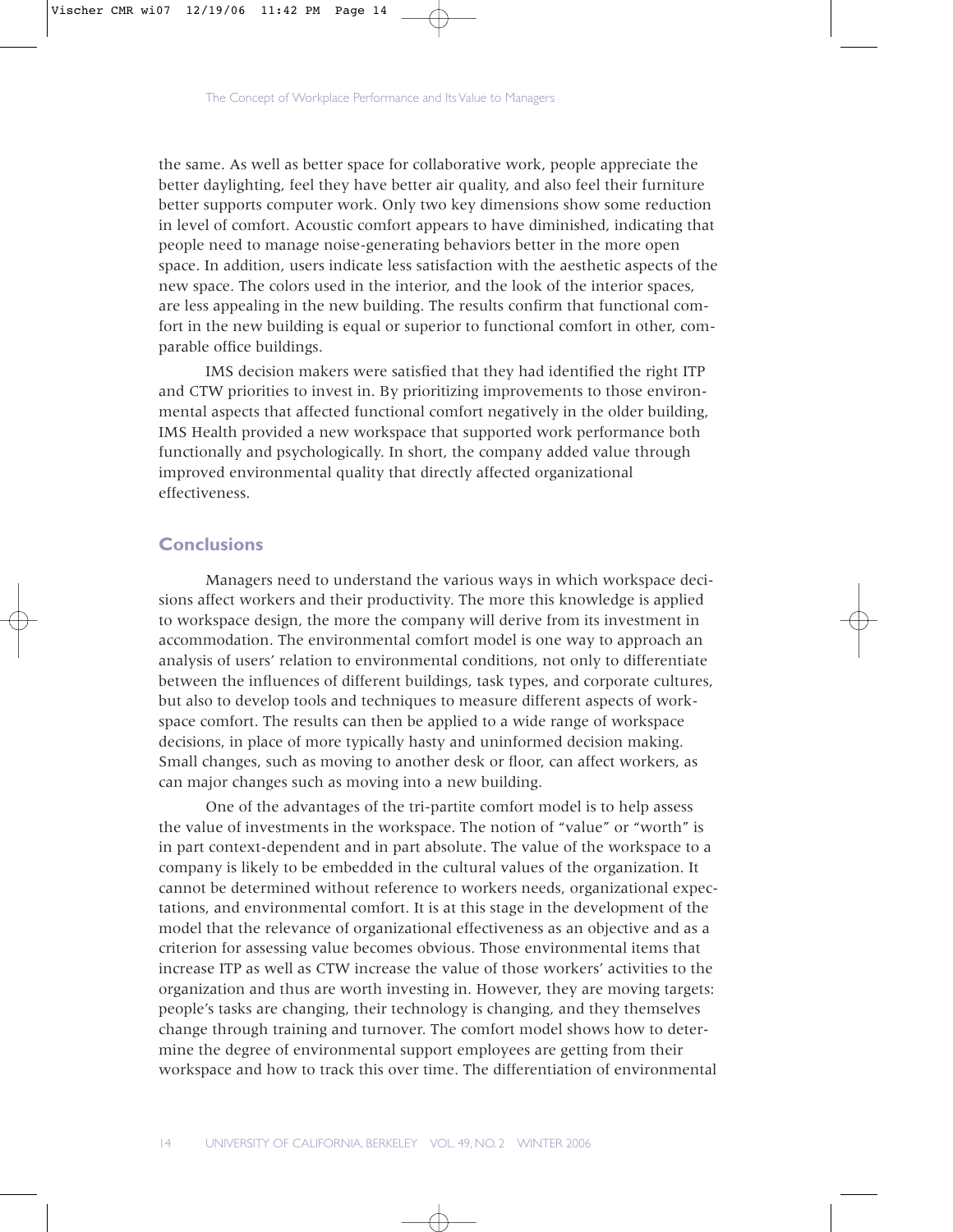the same. As well as better space for collaborative work, people appreciate the better daylighting, feel they have better air quality, and also feel their furniture better supports computer work. Only two key dimensions show some reduction in level of comfort. Acoustic comfort appears to have diminished, indicating that people need to manage noise-generating behaviors better in the more open space. In addition, users indicate less satisfaction with the aesthetic aspects of the new space. The colors used in the interior, and the look of the interior spaces, are less appealing in the new building. The results confirm that functional comfort in the new building is equal or superior to functional comfort in other, comparable office buildings.

IMS decision makers were satisfied that they had identified the right ITP and CTW priorities to invest in. By prioritizing improvements to those environmental aspects that affected functional comfort negatively in the older building, IMS Health provided a new workspace that supported work performance both functionally and psychologically. In short, the company added value through improved environmental quality that directly affected organizational effectiveness.

## **Conclusions**

Managers need to understand the various ways in which workspace decisions affect workers and their productivity. The more this knowledge is applied to workspace design, the more the company will derive from its investment in accommodation. The environmental comfort model is one way to approach an analysis of users' relation to environmental conditions, not only to differentiate between the influences of different buildings, task types, and corporate cultures, but also to develop tools and techniques to measure different aspects of workspace comfort. The results can then be applied to a wide range of workspace decisions, in place of more typically hasty and uninformed decision making. Small changes, such as moving to another desk or floor, can affect workers, as can major changes such as moving into a new building.

One of the advantages of the tri-partite comfort model is to help assess the value of investments in the workspace. The notion of "value" or "worth" is in part context-dependent and in part absolute. The value of the workspace to a company is likely to be embedded in the cultural values of the organization. It cannot be determined without reference to workers needs, organizational expectations, and environmental comfort. It is at this stage in the development of the model that the relevance of organizational effectiveness as an objective and as a criterion for assessing value becomes obvious. Those environmental items that increase ITP as well as CTW increase the value of those workers' activities to the organization and thus are worth investing in. However, they are moving targets: people's tasks are changing, their technology is changing, and they themselves change through training and turnover. The comfort model shows how to determine the degree of environmental support employees are getting from their workspace and how to track this over time. The differentiation of environmental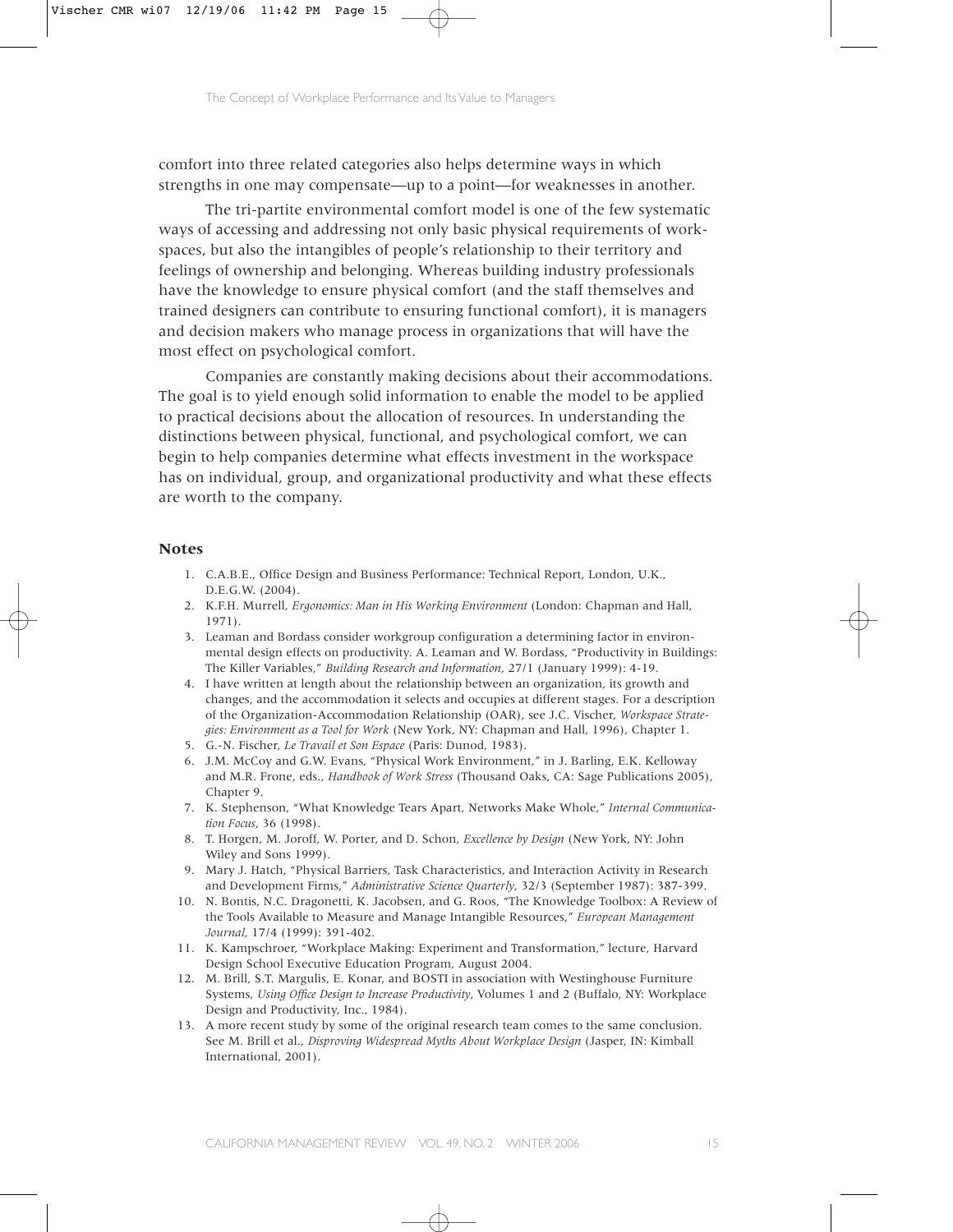comfort into three related categories also helps determine ways in which strengths in one may compensate—up to a point—for weaknesses in another.

The tri-partite environmental comfort model is one of the few systematic ways of accessing and addressing not only basic physical requirements of workspaces, but also the intangibles of people's relationship to their territory and feelings of ownership and belonging. Whereas building industry professionals have the knowledge to ensure physical comfort (and the staff themselves and trained designers can contribute to ensuring functional comfort), it is managers and decision makers who manage process in organizations that will have the most effect on psychological comfort.

Companies are constantly making decisions about their accommodations. The goal is to yield enough solid information to enable the model to be applied to practical decisions about the allocation of resources. In understanding the distinctions between physical, functional, and psychological comfort, we can begin to help companies determine what effects investment in the workspace has on individual, group, and organizational productivity and what these effects are worth to the company.

#### **Notes**

- 1. C.A.B.E., Office Design and Business Performance: Technical Report, London, U.K., D.E.G.W. (2004).
- 2. K.F.H. Murrell, *Ergonomics: Man in His Working Environment* (London: Chapman and Hall, 1971).
- 3. Leaman and Bordass consider workgroup configuration a determining factor in environmental design effects on productivity. A. Leaman and W. Bordass, "Productivity in Buildings: The Killer Variables," *Building Research and Information*, 27/1 (January 1999): 4-19.
- 4. I have written at length about the relationship between an organization, its growth and changes, and the accommodation it selects and occupies at different stages. For a description of the Organization-Accommodation Relationship (OAR), see J.C. Vischer, *Workspace Strategies: Environment as a Tool for Work* (New York, NY: Chapman and Hall, 1996), Chapter 1.
- 5. G.-N. Fischer, *Le Travail et Son Espace* (Paris: Dunod, 1983).
- 6. J.M. McCoy and G.W. Evans, "Physical Work Environment," in J. Barling, E.K. Kelloway and M.R. Frone, eds., *Handbook of Work Stress* (Thousand Oaks, CA: Sage Publications 2005), Chapter 9.
- 7. K. Stephenson, "What Knowledge Tears Apart, Networks Make Whole," *Internal Communication Focus*, 36 (1998).
- 8. T. Horgen, M. Joroff, W. Porter, and D. Schon, *Excellence by Design* (New York, NY: John Wiley and Sons 1999).
- 9. Mary J. Hatch, "Physical Barriers, Task Characteristics, and Interaction Activity in Research and Development Firms," *Administrative Science Quarterly*, 32/3 (September 1987): 387-399.
- 10. N. Bontis, N.C. Dragonetti, K. Jacobsen, and G. Roos, "The Knowledge Toolbox: A Review of the Tools Available to Measure and Manage Intangible Resources," *European Management Journal*, 17/4 (1999): 391-402.
- 11. K. Kampschroer, "Workplace Making: Experiment and Transformation," lecture, Harvard Design School Executive Education Program, August 2004.
- 12. M. Brill, S.T. Margulis, E. Konar, and BOSTI in association with Westinghouse Furniture Systems, *Using Office Design to Increase Productivity*, Volumes 1 and 2 (Buffalo, NY: Workplace Design and Productivity, Inc., 1984).
- 13. A more recent study by some of the original research team comes to the same conclusion. See M. Brill et al., *Disproving Widespread Myths About Workplace Design* (Jasper, IN: Kimball International, 2001).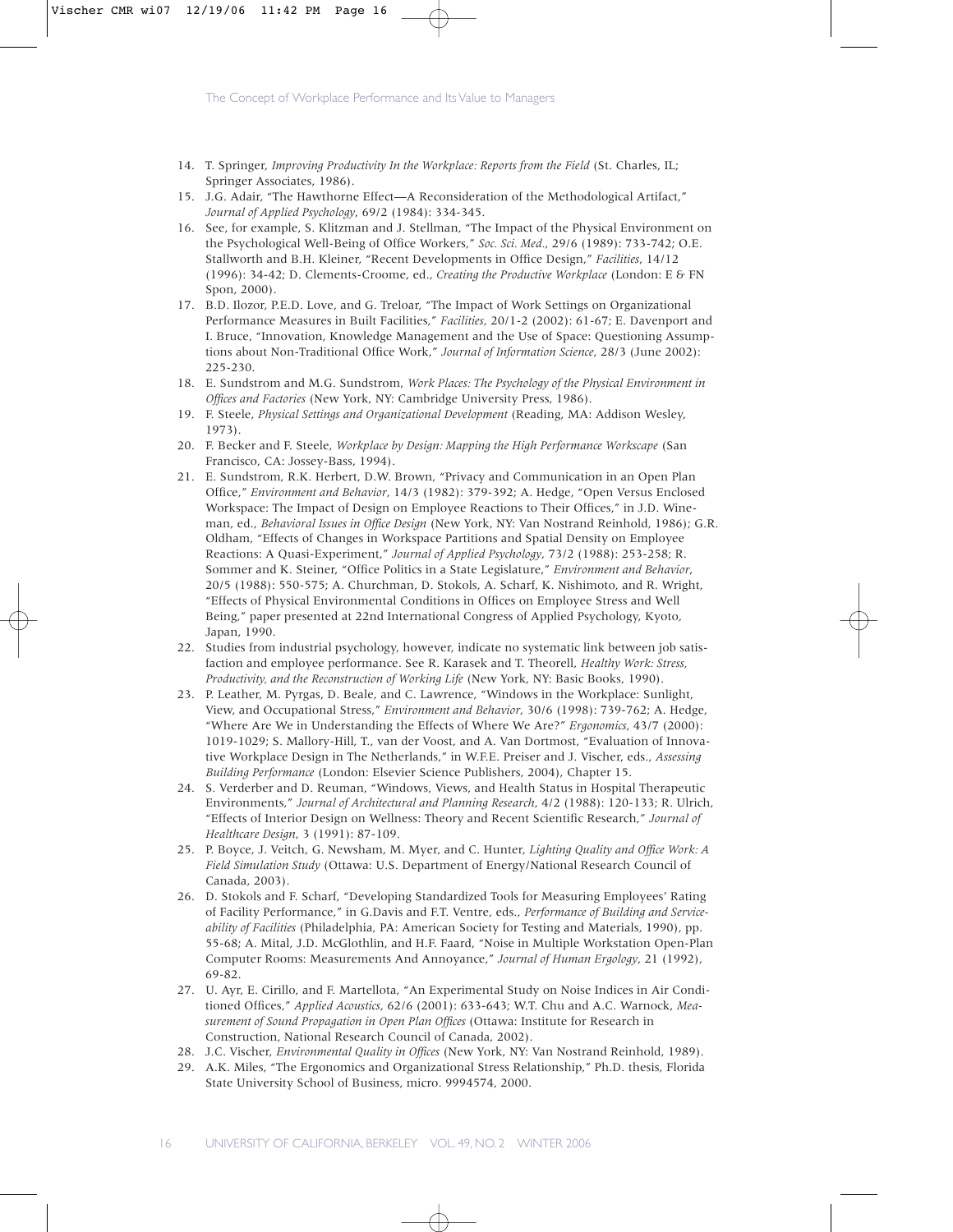- 14. T. Springer, *Improving Productivity In the Workplace: Reports from the Field* (St. Charles, IL; Springer Associates, 1986).
- 15. J.G. Adair, "The Hawthorne Effect—A Reconsideration of the Methodological Artifact," *Journal of Applied Psychology*, 69/2 (1984): 334-345.
- 16. See, for example, S. Klitzman and J. Stellman, "The Impact of the Physical Environment on the Psychological Well-Being of Office Workers," *Soc. Sci. Med.*, 29/6 (1989): 733-742; O.E. Stallworth and B.H. Kleiner, "Recent Developments in Office Design," *Facilities*, 14/12 (1996): 34-42; D. Clements-Croome, ed., *Creating the Productive Workplace* (London: E & FN Spon, 2000).
- 17. B.D. Ilozor, P.E.D. Love, and G. Treloar, "The Impact of Work Settings on Organizational Performance Measures in Built Facilities," *Facilities*, 20/1-2 (2002): 61-67; E. Davenport and I. Bruce, "Innovation, Knowledge Management and the Use of Space: Questioning Assumptions about Non-Traditional Office Work," *Journal of Information Science*, 28/3 (June 2002): 225-230.
- 18. E. Sundstrom and M.G. Sundstrom, *Work Places: The Psychology of the Physical Environment in Offices and Factories* (New York, NY: Cambridge University Press, 1986).
- 19. F. Steele, *Physical Settings and Organizational Development* (Reading, MA: Addison Wesley, 1973).
- 20. F. Becker and F. Steele, *Workplace by Design: Mapping the High Performance Workscape* (San Francisco, CA: Jossey-Bass, 1994).
- 21. E. Sundstrom, R.K. Herbert, D.W. Brown, "Privacy and Communication in an Open Plan Office," *Environment and Behavior*, 14/3 (1982): 379-392; A. Hedge, "Open Versus Enclosed Workspace: The Impact of Design on Employee Reactions to Their Offices," in J.D. Wineman, ed., *Behavioral Issues in Office Design* (New York, NY: Van Nostrand Reinhold, 1986); G.R. Oldham, "Effects of Changes in Workspace Partitions and Spatial Density on Employee Reactions: A Quasi-Experiment," *Journal of Applied Psychology*, 73/2 (1988): 253-258; R. Sommer and K. Steiner, "Office Politics in a State Legislature," *Environment and Behavior*, 20/5 (1988): 550-575; A. Churchman, D. Stokols, A. Scharf, K. Nishimoto, and R. Wright, "Effects of Physical Environmental Conditions in Offices on Employee Stress and Well Being," paper presented at 22nd International Congress of Applied Psychology, Kyoto, Japan, 1990.
- 22. Studies from industrial psychology, however, indicate no systematic link between job satisfaction and employee performance. See R. Karasek and T. Theorell, *Healthy Work: Stress, Productivity, and the Reconstruction of Working Life* (New York, NY: Basic Books, 1990).
- 23. P. Leather, M. Pyrgas, D. Beale, and C. Lawrence, "Windows in the Workplace: Sunlight, View, and Occupational Stress," *Environment and Behavior*, 30/6 (1998): 739-762; A. Hedge, "Where Are We in Understanding the Effects of Where We Are?" *Ergonomics*, 43/7 (2000): 1019-1029; S. Mallory-Hill, T., van der Voost, and A. Van Dortmost, "Evaluation of Innovative Workplace Design in The Netherlands," in W.F.E. Preiser and J. Vischer, eds., *Assessing Building Performance* (London: Elsevier Science Publishers, 2004), Chapter 15.
- 24. S. Verderber and D. Reuman, "Windows, Views, and Health Status in Hospital Therapeutic Environments," *Journal of Architectural and Planning Research*, 4/2 (1988): 120-133; R. Ulrich, "Effects of Interior Design on Wellness: Theory and Recent Scientific Research," *Journal of Healthcare Design*, 3 (1991): 87-109.
- 25. P. Boyce, J. Veitch, G. Newsham, M. Myer, and C. Hunter, *Lighting Quality and Office Work: A Field Simulation Study* (Ottawa: U.S. Department of Energy/National Research Council of Canada, 2003).
- 26. D. Stokols and F. Scharf, "Developing Standardized Tools for Measuring Employees' Rating of Facility Performance," in G.Davis and F.T. Ventre, eds., *Performance of Building and Serviceability of Facilities* (Philadelphia, PA: American Society for Testing and Materials, 1990), pp. 55-68; A. Mital, J.D. McGlothlin, and H.F. Faard, "Noise in Multiple Workstation Open-Plan Computer Rooms: Measurements And Annoyance," *Journal of Human Ergology*, 21 (1992), 69-82.
- 27. U. Ayr, E. Cirillo, and F. Martellota, "An Experimental Study on Noise Indices in Air Conditioned Offices," *Applied Acoustics*, 62/6 (2001): 633-643; W.T. Chu and A.C. Warnock, *Measurement of Sound Propagation in Open Plan Offices* (Ottawa: Institute for Research in Construction, National Research Council of Canada, 2002).
- 28. J.C. Vischer, *Environmental Quality in Offices* (New York, NY: Van Nostrand Reinhold, 1989).
- 29. A.K. Miles, "The Ergonomics and Organizational Stress Relationship," Ph.D. thesis, Florida State University School of Business, micro. 9994574, 2000.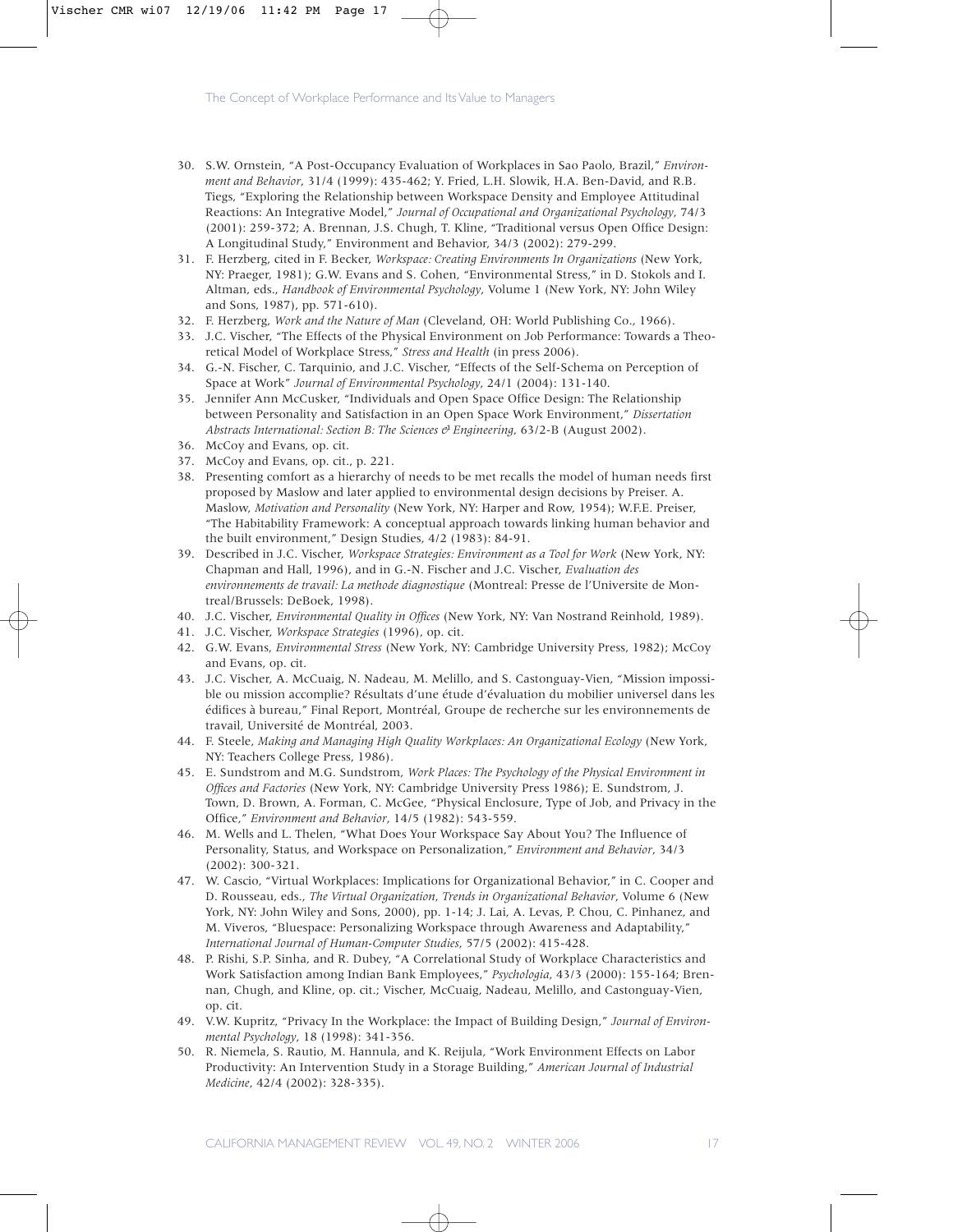- 30. S.W. Ornstein, "A Post-Occupancy Evaluation of Workplaces in Sao Paolo, Brazil," *Environment and Behavior*, 31/4 (1999): 435-462; Y. Fried, L.H. Slowik, H.A. Ben-David, and R.B. Tiegs, "Exploring the Relationship between Workspace Density and Employee Attitudinal Reactions: An Integrative Model," *Journal of Occupational and Organizational Psychology*, 74/3 (2001): 259-372; A. Brennan, J.S. Chugh, T. Kline, "Traditional versus Open Office Design: A Longitudinal Study," Environment and Behavior, 34/3 (2002): 279-299.
- 31. F. Herzberg, cited in F. Becker, *Workspace: Creating Environments In Organizations* (New York, NY: Praeger, 1981); G.W. Evans and S. Cohen, "Environmental Stress," in D. Stokols and I. Altman, eds., *Handbook of Environmental Psychology*, Volume 1 (New York, NY: John Wiley and Sons, 1987), pp. 571-610).
- 32. F. Herzberg, *Work and the Nature of Man* (Cleveland, OH: World Publishing Co., 1966).
- 33. J.C. Vischer, "The Effects of the Physical Environment on Job Performance: Towards a Theoretical Model of Workplace Stress," *Stress and Health* (in press 2006).
- 34. G.-N. Fischer, C. Tarquinio, and J.C. Vischer, "Effects of the Self-Schema on Perception of Space at Work" *Journal of Environmental Psychology*, 24/1 (2004): 131-140.
- 35. Jennifer Ann McCusker, "Individuals and Open Space Office Design: The Relationship between Personality and Satisfaction in an Open Space Work Environment," *Dissertation Abstracts International: Section B: The Sciences & Engineering, 63/2-B (August 2002).*
- 36. McCoy and Evans, op. cit.
- 37. McCoy and Evans, op. cit., p. 221.
- 38. Presenting comfort as a hierarchy of needs to be met recalls the model of human needs first proposed by Maslow and later applied to environmental design decisions by Preiser. A. Maslow, *Motivation and Personality* (New York, NY: Harper and Row, 1954); W.F.E. Preiser, "The Habitability Framework: A conceptual approach towards linking human behavior and the built environment," Design Studies, 4/2 (1983): 84-91.
- 39. Described in J.C. Vischer, *Workspace Strategies: Environment as a Tool for Work* (New York, NY: Chapman and Hall, 1996), and in G.-N. Fischer and J.C. Vischer, *Evaluation des environnements de travail: La methode diagnostique* (Montreal: Presse de l'Universite de Montreal/Brussels: DeBoek, 1998).
- 40. J.C. Vischer, *Environmental Quality in Offices* (New York, NY: Van Nostrand Reinhold, 1989).
- 41. J.C. Vischer, *Workspace Strategies* (1996), op. cit.
- 42. G.W. Evans, *Environmental Stress* (New York, NY: Cambridge University Press, 1982); McCoy and Evans, op. cit.
- 43. J.C. Vischer, A. McCuaig, N. Nadeau, M. Melillo, and S. Castonguay-Vien, "Mission impossible ou mission accomplie? Résultats d'une étude d'évaluation du mobilier universel dans les édifices à bureau," Final Report, Montréal, Groupe de recherche sur les environnements de travail, Université de Montréal, 2003.
- 44. F. Steele, *Making and Managing High Quality Workplaces: An Organizational Ecology* (New York, NY: Teachers College Press, 1986).
- 45. E. Sundstrom and M.G. Sundstrom, *Work Places: The Psychology of the Physical Environment in Offices and Factories* (New York, NY: Cambridge University Press 1986); E. Sundstrom, J. Town, D. Brown, A. Forman, C. McGee, "Physical Enclosure, Type of Job, and Privacy in the Office," *Environment and Behavior*, 14/5 (1982): 543-559.
- 46. M. Wells and L. Thelen, "What Does Your Workspace Say About You? The Influence of Personality, Status, and Workspace on Personalization," *Environment and Behavior*, 34/3 (2002): 300-321.
- 47. W. Cascio, "Virtual Workplaces: Implications for Organizational Behavior," in C. Cooper and D. Rousseau, eds., *The Virtual Organization*, *Trends in Organizational Behavior*, Volume 6 (New York, NY: John Wiley and Sons, 2000), pp. 1-14; J. Lai, A. Levas, P. Chou, C. Pinhanez, and M. Viveros, "Bluespace: Personalizing Workspace through Awareness and Adaptability," *International Journal of Human-Computer Studies*, 57/5 (2002): 415-428.
- 48. P. Rishi, S.P. Sinha, and R. Dubey, "A Correlational Study of Workplace Characteristics and Work Satisfaction among Indian Bank Employees," *Psychologia*, 43/3 (2000): 155-164; Brennan, Chugh, and Kline, op. cit.; Vischer, McCuaig, Nadeau, Melillo, and Castonguay-Vien, op. cit.
- 49. V.W. Kupritz, "Privacy In the Workplace: the Impact of Building Design," *Journal of Environmental Psychology*, 18 (1998): 341-356.
- 50. R. Niemela, S. Rautio, M. Hannula, and K. Reijula, "Work Environment Effects on Labor Productivity: An Intervention Study in a Storage Building," *American Journal of Industrial Medicine*, 42/4 (2002): 328-335).